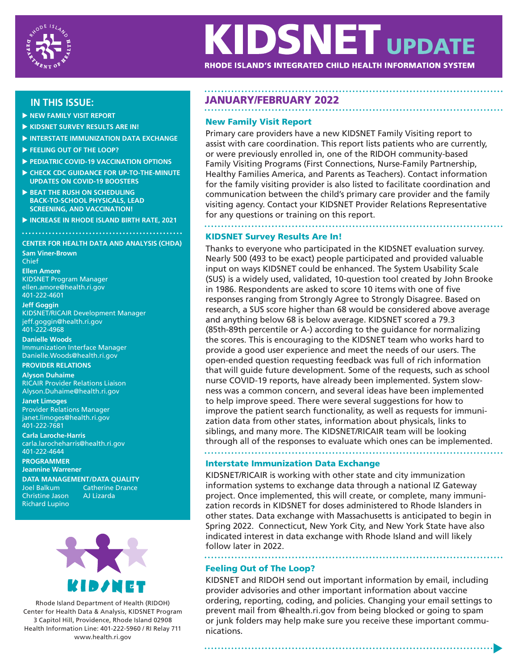

# **KIDSNET UPDATE**

RHODE ISLAND'S INTEGRATED CHILD HEALTH INFORMATION SYSTEM

# **IN THIS ISSUE:**

- **NEW FAMILY VISIT REPORT**
- **KIDSNET SURVEY RESULTS ARE IN!**
- **INTERSTATE IMMUNIZATION DATA EXCHANGE**
- **FEELING OUT OF THE LOOP?**
- **PEDIATRIC COVID-19 VACCINATION OPTIONS**
- **CHECK CDC GUIDANCE FOR UP-TO-THE-MINUTE UPDATES ON COVID-19 BOOSTERS**
- **BEAT THE RUSH ON SCHEDULING BACK-TO-SCHOOL PHYSICALS, LEAD SCREENING, AND VACCINATION!**
- **INCREASE IN RHODE ISLAND BIRTH RATE, 2021**

### **CENTER FOR HEALTH DATA AND ANALYSIS (CHDA)**

**Sam Viner-Brown**

Chief **Ellen Amore** KIDSNET Program Manager ellen.amore@health.ri.gov 401-222-4601

**Jeff Goggin** KIDSNET/RICAIR Development Manager jeff.goggin@health.ri.gov 401-222-4968

**Danielle Woods**  Immunization Interface Manager Danielle.Woods@health.ri.gov

### **PROVIDER RELATIONS**

**Alyson Duhaime**  RICAIR Provider Relations Liaison Alyson.Duhaime@health.ri.gov

**Janet Limoges** Provider Relations Manager janet.limoges@health.ri.gov 401-222-7681

**Carla Laroche-Harris** carla.larocheharris@health.ri.gov 401-222-4644

**PROGRAMMER Jeannine Warrener**

**DATA MANAGEMENT/DATA QUALITY** Joel Balkum Catherine Drance Christine Jason AJ Lizarda Richard Lupino



Rhode Island Department of Health (RIDOH) Center for Health Data & Analysis, KIDSNET Program 3 Capitol Hill, Providence, Rhode Island 02908 Health Information Line: 401-222-5960 / RI Relay 711 www.health.ri.gov

# JANUARY/FEBRUARY 2022

# New Family Visit Report

Primary care providers have a new KIDSNET Family Visiting report to assist with care coordination. This report lists patients who are currently, or were previously enrolled in, one of the RIDOH community-based Family Visiting Programs (First Connections, Nurse-Family Partnership, Healthy Families America, and Parents as Teachers). Contact information for the family visiting provider is also listed to facilitate coordination and communication between the child's primary care provider and the family visiting agency. Contact your KIDSNET Provider Relations Representative for any questions or training on this report.

# KIDSNET Survey Results Are In!

Thanks to everyone who participated in the KIDSNET evaluation survey. Nearly 500 (493 to be exact) people participated and provided valuable input on ways KIDSNET could be enhanced. The System Usability Scale (SUS) is a widely used, validated, 10-question tool created by John Brooke in 1986. Respondents are asked to score 10 items with one of five responses ranging from Strongly Agree to Strongly Disagree. Based on research, a SUS score higher than 68 would be considered above average and anything below 68 is below average. KIDSNET scored a 79.3 (85th-89th percentile or A-) according to the guidance for normalizing the scores. This is encouraging to the KIDSNET team who works hard to provide a good user experience and meet the needs of our users. The open-ended question requesting feedback was full of rich information that will guide future development. Some of the requests, such as school nurse COVID-19 reports, have already been implemented. System slowness was a common concern, and several ideas have been implemented to help improve speed. There were several suggestions for how to improve the patient search functionality, as well as requests for immunization data from other states, information about physicals, links to siblings, and many more. The KIDSNET/RICAIR team will be looking through all of the responses to evaluate which ones can be implemented.

#### Interstate Immunization Data Exchange

KIDSNET/RICAIR is working with other state and city immunization information systems to exchange data through a national IZ Gateway project. Once implemented, this will create, or complete, many immunization records in KIDSNET for doses administered to Rhode Islanders in other states. Data exchange with Massachusetts is anticipated to begin in Spring 2022. Connecticut, New York City, and New York State have also indicated interest in data exchange with Rhode Island and will likely follow later in 2022.

# Feeling Out of The Loop?

KIDSNET and RIDOH send out important information by email, including provider advisories and other important information about vaccine ordering, reporting, coding, and policies. Changing your email settings to prevent mail from @health.ri.gov from being blocked or going to spam or junk folders may help make sure you receive these important communications.